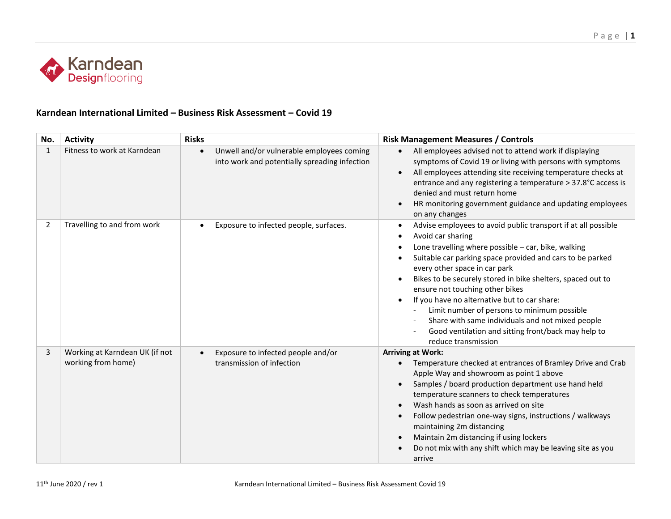

## **Karndean International Limited – Business Risk Assessment – Covid 19**

| No. | <b>Activity</b>                                      | <b>Risks</b>                                                                                            | <b>Risk Management Measures / Controls</b>                                                                                                                                                                                                                                                                                                                                                                                                                                                                                                                                                                        |
|-----|------------------------------------------------------|---------------------------------------------------------------------------------------------------------|-------------------------------------------------------------------------------------------------------------------------------------------------------------------------------------------------------------------------------------------------------------------------------------------------------------------------------------------------------------------------------------------------------------------------------------------------------------------------------------------------------------------------------------------------------------------------------------------------------------------|
| 1   | Fitness to work at Karndean                          | Unwell and/or vulnerable employees coming<br>$\bullet$<br>into work and potentially spreading infection | All employees advised not to attend work if displaying<br>$\bullet$<br>symptoms of Covid 19 or living with persons with symptoms<br>All employees attending site receiving temperature checks at<br>entrance and any registering a temperature > 37.8°C access is<br>denied and must return home<br>HR monitoring government guidance and updating employees<br>$\bullet$<br>on any changes                                                                                                                                                                                                                       |
| 2   | Travelling to and from work                          | Exposure to infected people, surfaces.                                                                  | Advise employees to avoid public transport if at all possible<br>$\bullet$<br>Avoid car sharing<br>$\bullet$<br>Lone travelling where possible - car, bike, walking<br>Suitable car parking space provided and cars to be parked<br>$\bullet$<br>every other space in car park<br>Bikes to be securely stored in bike shelters, spaced out to<br>ensure not touching other bikes<br>If you have no alternative but to car share:<br>Limit number of persons to minimum possible<br>Share with same individuals and not mixed people<br>Good ventilation and sitting front/back may help to<br>reduce transmission |
| 3   | Working at Karndean UK (if not<br>working from home) | Exposure to infected people and/or<br>transmission of infection                                         | <b>Arriving at Work:</b><br>Temperature checked at entrances of Bramley Drive and Crab<br>Apple Way and showroom as point 1 above<br>Samples / board production department use hand held<br>temperature scanners to check temperatures<br>Wash hands as soon as arrived on site<br>Follow pedestrian one-way signs, instructions / walkways<br>$\bullet$<br>maintaining 2m distancing<br>Maintain 2m distancing if using lockers<br>Do not mix with any shift which may be leaving site as you<br>arrive                                                                                                          |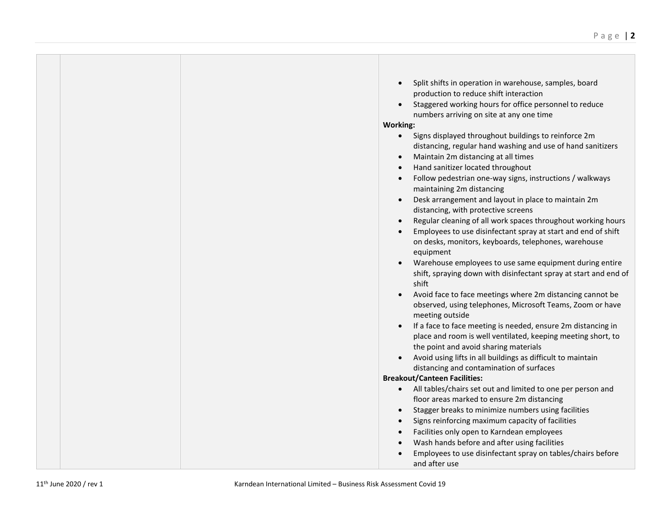|  | Split shifts in operation in warehouse, samples, board<br>$\bullet$                                                          |
|--|------------------------------------------------------------------------------------------------------------------------------|
|  | production to reduce shift interaction                                                                                       |
|  | Staggered working hours for office personnel to reduce<br>$\bullet$                                                          |
|  | numbers arriving on site at any one time                                                                                     |
|  | <b>Working:</b>                                                                                                              |
|  | Signs displayed throughout buildings to reinforce 2m<br>$\bullet$                                                            |
|  | distancing, regular hand washing and use of hand sanitizers                                                                  |
|  | Maintain 2m distancing at all times<br>$\bullet$                                                                             |
|  | Hand sanitizer located throughout<br>$\bullet$                                                                               |
|  | Follow pedestrian one-way signs, instructions / walkways<br>$\bullet$<br>maintaining 2m distancing                           |
|  | Desk arrangement and layout in place to maintain 2m<br>$\bullet$<br>distancing, with protective screens                      |
|  | Regular cleaning of all work spaces throughout working hours<br>$\bullet$                                                    |
|  | Employees to use disinfectant spray at start and end of shift<br>$\bullet$                                                   |
|  | on desks, monitors, keyboards, telephones, warehouse                                                                         |
|  | equipment                                                                                                                    |
|  | Warehouse employees to use same equipment during entire                                                                      |
|  | shift, spraying down with disinfectant spray at start and end of<br>shift                                                    |
|  | Avoid face to face meetings where 2m distancing cannot be<br>$\bullet$                                                       |
|  | observed, using telephones, Microsoft Teams, Zoom or have                                                                    |
|  | meeting outside<br>$\bullet$                                                                                                 |
|  | If a face to face meeting is needed, ensure 2m distancing in<br>place and room is well ventilated, keeping meeting short, to |
|  | the point and avoid sharing materials                                                                                        |
|  | Avoid using lifts in all buildings as difficult to maintain                                                                  |
|  | distancing and contamination of surfaces                                                                                     |
|  | <b>Breakout/Canteen Facilities:</b>                                                                                          |
|  | All tables/chairs set out and limited to one per person and<br>$\bullet$                                                     |
|  | floor areas marked to ensure 2m distancing                                                                                   |
|  | Stagger breaks to minimize numbers using facilities<br>$\bullet$                                                             |
|  | Signs reinforcing maximum capacity of facilities<br>$\bullet$                                                                |
|  | Facilities only open to Karndean employees<br>$\bullet$                                                                      |
|  | Wash hands before and after using facilities<br>$\bullet$                                                                    |
|  | Employees to use disinfectant spray on tables/chairs before                                                                  |
|  | and after use                                                                                                                |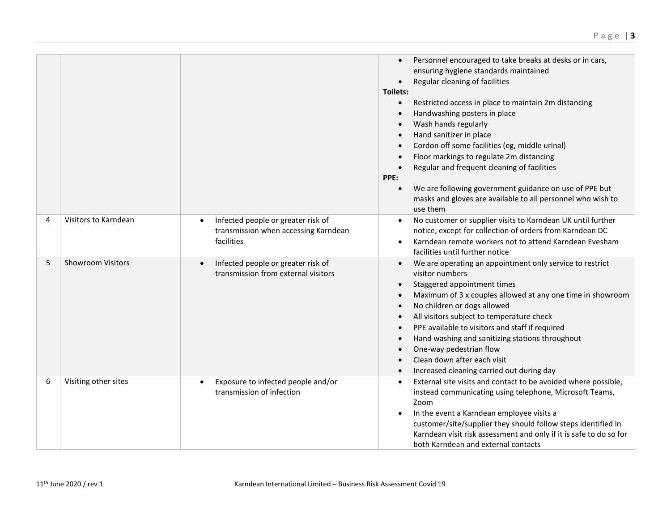|   |                          |                                                                                                       | Personnel encouraged to take breaks at desks or in cars,<br>$\bullet$<br>ensuring hygiene standards maintained<br>Regular cleaning of facilities<br>$\bullet$<br>Toilets:<br>Restricted access in place to maintain 2m distancing<br>$\bullet$<br>Handwashing posters in place<br>$\bullet$<br>Wash hands regularly<br>$\bullet$<br>Hand sanitizer in place<br>$\bullet$<br>Cordon off some facilities (eg, middle urinal)<br>$\bullet$<br>Floor markings to regulate 2m distancing<br>$\bullet$<br>Regular and frequent cleaning of facilities<br>$\bullet$<br>PPE:<br>We are following government guidance on use of PPE but<br>$\bullet$<br>masks and gloves are available to all personnel who wish to<br>use them |
|---|--------------------------|-------------------------------------------------------------------------------------------------------|------------------------------------------------------------------------------------------------------------------------------------------------------------------------------------------------------------------------------------------------------------------------------------------------------------------------------------------------------------------------------------------------------------------------------------------------------------------------------------------------------------------------------------------------------------------------------------------------------------------------------------------------------------------------------------------------------------------------|
| 4 | Visitors to Karndean     | Infected people or greater risk of<br>$\bullet$<br>transmission when accessing Karndean<br>facilities | No customer or supplier visits to Karndean UK until further<br>$\bullet$<br>notice, except for collection of orders from Karndean DC<br>Karndean remote workers not to attend Karndean Evesham<br>$\bullet$<br>facilities until further notice                                                                                                                                                                                                                                                                                                                                                                                                                                                                         |
| 5 | <b>Showroom Visitors</b> | Infected people or greater risk of<br>$\bullet$<br>transmission from external visitors                | We are operating an appointment only service to restrict<br>$\bullet$<br>visitor numbers<br>Staggered appointment times<br>$\bullet$<br>Maximum of 3 x couples allowed at any one time in showroom<br>$\bullet$<br>No children or dogs allowed<br>$\bullet$<br>All visitors subject to temperature check<br>$\bullet$<br>PPE available to visitors and staff if required<br>$\bullet$<br>Hand washing and sanitizing stations throughout<br>$\bullet$<br>One-way pedestrian flow<br>$\bullet$<br>Clean down after each visit<br>$\bullet$<br>Increased cleaning carried out during day<br>$\bullet$                                                                                                                    |
| 6 | Visiting other sites     | Exposure to infected people and/or<br>$\bullet$<br>transmission of infection                          | External site visits and contact to be avoided where possible,<br>$\bullet$<br>instead communicating using telephone, Microsoft Teams,<br>Zoom<br>In the event a Karndean employee visits a<br>customer/site/supplier they should follow steps identified in<br>Karndean visit risk assessment and only if it is safe to do so for<br>both Karndean and external contacts                                                                                                                                                                                                                                                                                                                                              |